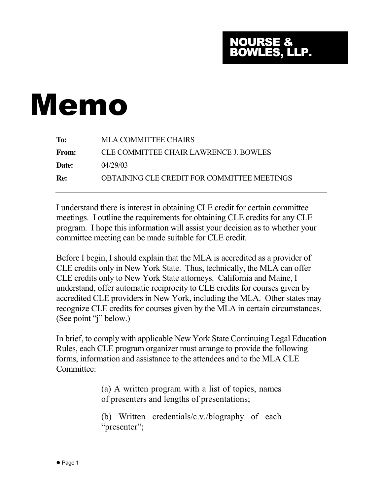## NOURSE & BOWLES, LLP.

## Memo

| To:          | <b>MLA COMMITTEE CHAIRS</b>                   |
|--------------|-----------------------------------------------|
| <b>From:</b> | <b>CLE COMMITTEE CHAIR LAWRENCE J. BOWLES</b> |
| Date:        | 04/29/03                                      |
| <b>Re:</b>   | OBTAINING CLE CREDIT FOR COMMITTEE MEETINGS   |
|              |                                               |

I understand there is interest in obtaining CLE credit for certain committee meetings. I outline the requirements for obtaining CLE credits for any CLE program. I hope this information will assist your decision as to whether your committee meeting can be made suitable for CLE credit.

Before I begin, I should explain that the MLA is accredited as a provider of CLE credits only in New York State. Thus, technically, the MLA can offer CLE credits only to New York State attorneys. California and Maine, I understand, offer automatic reciprocity to CLE credits for courses given by accredited CLE providers in New York, including the MLA. Other states may recognize CLE credits for courses given by the MLA in certain circumstances. (See point "j" below.)

In brief, to comply with applicable New York State Continuing Legal Education Rules, each CLE program organizer must arrange to provide the following forms, information and assistance to the attendees and to the MLA CLE Committee:

> (a) A written program with a list of topics, names of presenters and lengths of presentations;

> (b) Written credentials/c.v./biography of each "presenter";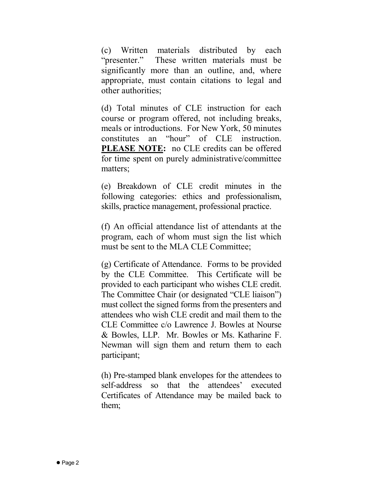(c) Written materials distributed by each "presenter." These written materials must be significantly more than an outline, and, where appropriate, must contain citations to legal and other authorities;

(d) Total minutes of CLE instruction for each course or program offered, not including breaks, meals or introductions. For New York, 50 minutes constitutes an "hour" of CLE instruction. **PLEASE NOTE:** no CLE credits can be offered for time spent on purely administrative/committee matters;

(e) Breakdown of CLE credit minutes in the following categories: ethics and professionalism, skills, practice management, professional practice.

(f) An official attendance list of attendants at the program, each of whom must sign the list which must be sent to the MLA CLE Committee;

(g) Certificate of Attendance. Forms to be provided by the CLE Committee. This Certificate will be provided to each participant who wishes CLE credit. The Committee Chair (or designated "CLE liaison") must collect the signed forms from the presenters and attendees who wish CLE credit and mail them to the CLE Committee c/o Lawrence J. Bowles at Nourse & Bowles, LLP. Mr. Bowles or Ms. Katharine F. Newman will sign them and return them to each participant;

(h) Pre-stamped blank envelopes for the attendees to self-address so that the attendees' executed Certificates of Attendance may be mailed back to them;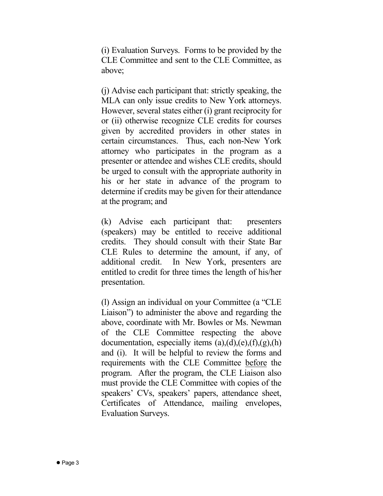(i) Evaluation Surveys. Forms to be provided by the CLE Committee and sent to the CLE Committee, as above;

(j) Advise each participant that: strictly speaking, the MLA can only issue credits to New York attorneys. However, several states either (i) grant reciprocity for or (ii) otherwise recognize CLE credits for courses given by accredited providers in other states in certain circumstances. Thus, each non-New York attorney who participates in the program as a presenter or attendee and wishes CLE credits, should be urged to consult with the appropriate authority in his or her state in advance of the program to determine if credits may be given for their attendance at the program; and

(k) Advise each participant that: presenters (speakers) may be entitled to receive additional credits. They should consult with their State Bar CLE Rules to determine the amount, if any, of additional credit. In New York, presenters are entitled to credit for three times the length of his/her presentation.

(l) Assign an individual on your Committee (a "CLE Liaison") to administer the above and regarding the above, coordinate with Mr. Bowles or Ms. Newman of the CLE Committee respecting the above documentation, especially items  $(a)$ , $(d)$ , $(e)$ , $(f)$ , $(g)$ , $(h)$ and (i). It will be helpful to review the forms and requirements with the CLE Committee before the program. After the program, the CLE Liaison also must provide the CLE Committee with copies of the speakers' CVs, speakers' papers, attendance sheet, Certificates of Attendance, mailing envelopes, Evaluation Surveys.